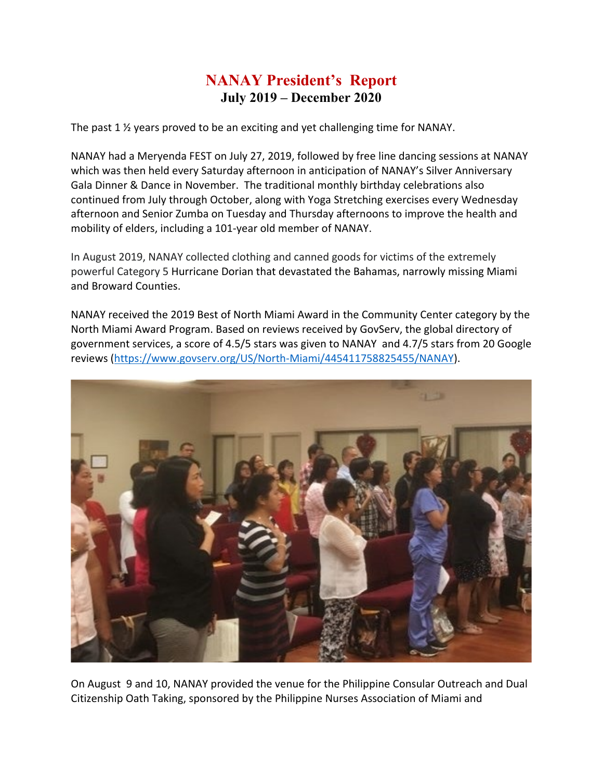## **NANAY President's Report July 2019 – December 2020**

The past 1 ½ years proved to be an exciting and yet challenging time for NANAY.

NANAY had a Meryenda FEST on July 27, 2019, followed by free line dancing sessions at NANAY which was then held every Saturday afternoon in anticipation of NANAY's Silver Anniversary Gala Dinner & Dance in November. The traditional monthly birthday celebrations also continued from July through October, along with Yoga Stretching exercises every Wednesday afternoon and Senior Zumba on Tuesday and Thursday afternoons to improve the health and mobility of elders, including a 101-year old member of NANAY.

In August 2019, NANAY collected clothing and canned goods for victims of the extremely powerful Category 5 Hurricane Dorian that devastated the Bahamas, narrowly missing Miami and Broward Counties.

NANAY received the 2019 Best of North Miami Award in the Community Center category by the North Miami Award Program. Based on reviews received by GovServ, the global directory of government services, a score of 4.5/5 stars was given to NANAY and 4.7/5 stars from 20 Google reviews [\(https://www.govserv.org/US/North-Miami/445411758825455/NANAY\)](https://www.govserv.org/US/North-Miami/445411758825455/NANAY).



On August 9 and 10, NANAY provided the venue for the Philippine Consular Outreach and Dual Citizenship Oath Taking, sponsored by the Philippine Nurses Association of Miami and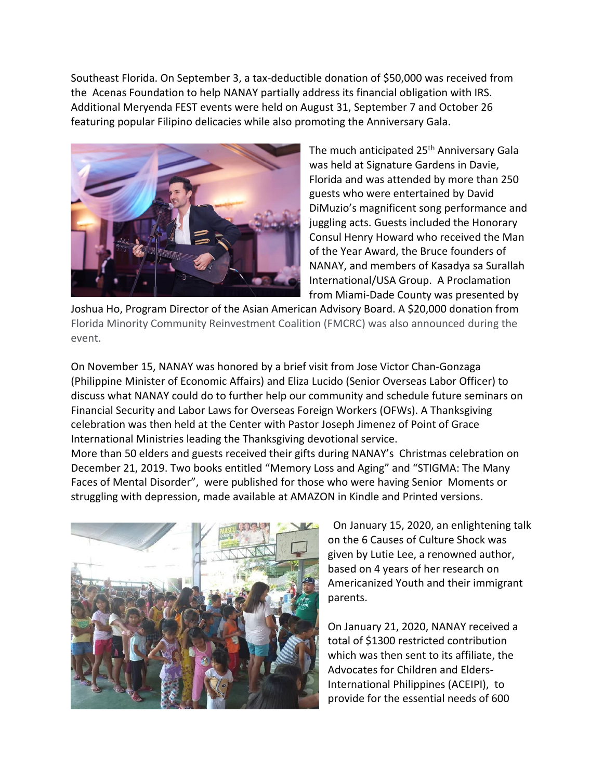Southeast Florida. On September 3, a tax-deductible donation of \$50,000 was received from the Acenas Foundation to help NANAY partially address its financial obligation with IRS. Additional Meryenda FEST events were held on August 31, September 7 and October 26 featuring popular Filipino delicacies while also promoting the Anniversary Gala.



The much anticipated 25<sup>th</sup> Anniversary Gala was held at Signature Gardens in Davie, Florida and was attended by more than 250 guests who were entertained by David DiMuzio's magnificent song performance and juggling acts. Guests included the Honorary Consul Henry Howard who received the Man of the Year Award, the Bruce founders of NANAY, and members of Kasadya sa Surallah International/USA Group. A Proclamation from Miami-Dade County was presented by

Joshua Ho, Program Director of the Asian American Advisory Board. A \$20,000 donation from Florida Minority Community Reinvestment Coalition (FMCRC) was also announced during the event.

On November 15, NANAY was honored by a brief visit from Jose Victor Chan-Gonzaga (Philippine Minister of Economic Affairs) and Eliza Lucido (Senior Overseas Labor Officer) to discuss what NANAY could do to further help our community and schedule future seminars on Financial Security and Labor Laws for Overseas Foreign Workers (OFWs). A Thanksgiving celebration was then held at the Center with Pastor Joseph Jimenez of Point of Grace International Ministries leading the Thanksgiving devotional service.

More than 50 elders and guests received their gifts during NANAY's Christmas celebration on December 21, 2019. Two books entitled "Memory Loss and Aging" and "STIGMA: The Many Faces of Mental Disorder", were published for those who were having Senior Moments or struggling with depression, made available at AMAZON in Kindle and Printed versions.



 On January 15, 2020, an enlightening talk on the 6 Causes of Culture Shock was given by Lutie Lee, a renowned author, based on 4 years of her research on Americanized Youth and their immigrant parents.

On January 21, 2020, NANAY received a total of \$1300 restricted contribution which was then sent to its affiliate, the Advocates for Children and Elders-International Philippines (ACEIPI), to provide for the essential needs of 600